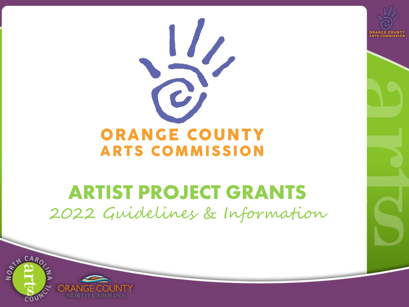



### **ARTIST PROJECT GRANTS** 2022 Guidelines & Information

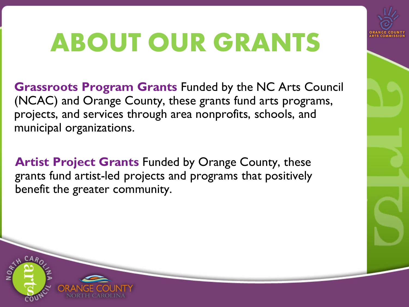## **ABOUT OUR GRANTS**

**Grassroots Program Grants** Funded by the NC Arts Council (NCAC) and Orange County, these grants fund arts programs, projects, and services through area nonprofits, schools, and municipal organizations.

**Artist Project Grants** Funded by Orange County, these grants fund artist-led projects and programs that positively benefit the greater community.

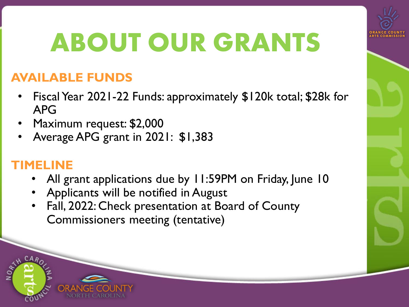

## **ABOUT OUR GRANTS**

#### **AVAILABLE FUNDS**

- Fiscal Year 2021-22 Funds: approximately \$120k total; \$28k for APG
- Maximum request: \$2,000
- Average APG grant in 2021: \$1,383

#### **TIMELINE**

- All grant applications due by 11:59PM on Friday, June 10
- Applicants will be notified in August
- Fall, 2022: Check presentation at Board of County Commissioners meeting (tentative)

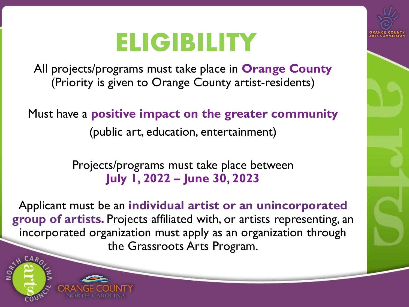### **ELIGIBILITY**



All projects/programs must take place in **Orange County** (Priority is given to Orange County artist-residents)

Must have a **positive impact on the greater community**

(public art, education, entertainment)

Projects/programs must take place between **July 1, 2022 – June 30, 2023**

Applicant must be an **individual artist or an unincorporated group of artists.** Projects affiliated with, or artists representing, an incorporated organization must apply as an organization through the Grassroots Arts Program.

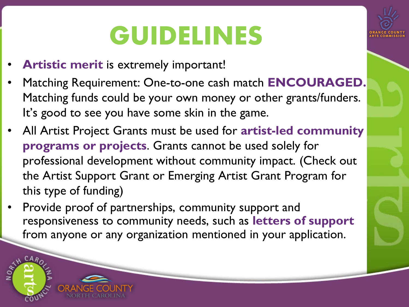## **GUIDELINES**

- **Artistic merit** is extremely important!
- Matching Requirement: One-to-one cash match **ENCOURAGED.**  Matching funds could be your own money or other grants/funders. It's good to see you have some skin in the game.
- All Artist Project Grants must be used for **artist-led community programs or projects**. Grants cannot be used solely for professional development without community impact. (Check out the Artist Support Grant or Emerging Artist Grant Program for this type of funding)
- Provide proof of partnerships, community support and responsiveness to community needs, such as **letters of support**  from anyone or any organization mentioned in your application.

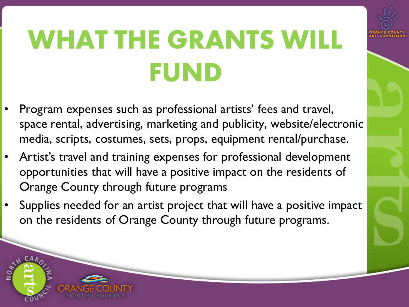# **WHAT THE GRANTS WILL FUND**

- Program expenses such as professional artists' fees and travel, space rental, advertising, marketing and publicity, website/electronic media, scripts, costumes, sets, props, equipment rental/purchase.
- Artist's travel and training expenses for professional development opportunities that will have a positive impact on the residents of Orange County through future programs
- Supplies needed for an artist project that will have a positive impact on the residents of Orange County through future programs.

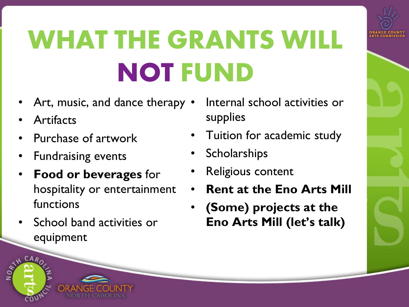# **WHAT THE GRANTS WILL NOT FUND**

- Art, music, and dance therapy  $\bullet$
- **Artifacts**
- Purchase of artwork
- Fundraising events
- **Food or beverages** for hospitality or entertainment functions
- School band activities or equipment
- Internal school activities or supplies
- Tuition for academic study
- **Scholarships**
- Religious content
- **Rent at the Eno Arts Mill**
- **(Some) projects at the Eno Arts Mill (let's talk)**

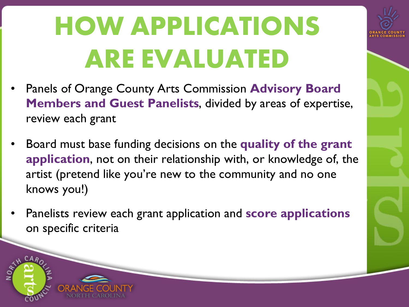# **HOW APPLICATIONS ARE EVALUATED**

- Panels of Orange County Arts Commission **Advisory Board Members and Guest Panelists**, divided by areas of expertise, review each grant
- Board must base funding decisions on the **quality of the grant application**, not on their relationship with, or knowledge of, the artist (pretend like you're new to the community and no one knows you!)
- Panelists review each grant application and **score applications** on specific criteria

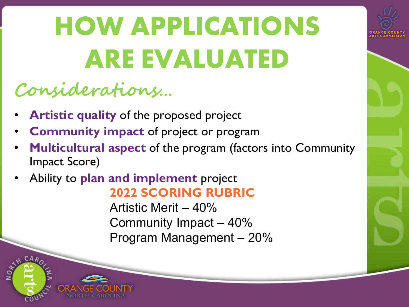# **HOW APPLICATIONS ARE EVALUATED**

### **Considerations…**

- **Artistic quality** of the proposed project
- **Community impact** of project or program
- **Multicultural aspect** of the program (factors into Community Impact Score)
- Ability to **plan and implement** project **2022 SCORING RUBRIC**

Artistic Merit – 40% Community Impact – 40% Program Management – 20%

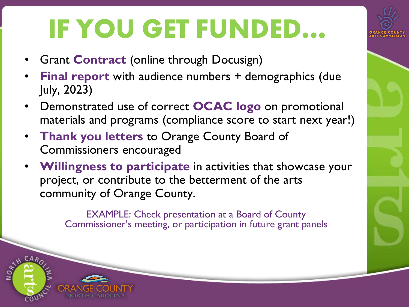## **IF YOU GET FUNDED…**

- **Grant Contract (online through Docusign)**
- **Final report** with audience numbers + demographics (due July, 2023)
- Demonstrated use of correct **OCAC logo** on promotional materials and programs (compliance score to start next year!)
- **Thank you letters** to Orange County Board of Commissioners encouraged
- **Willingness to participate** in activities that showcase your project, or contribute to the betterment of the arts community of Orange County.

EXAMPLE: Check presentation at a Board of County Commissioner's meeting, or participation in future grant panels

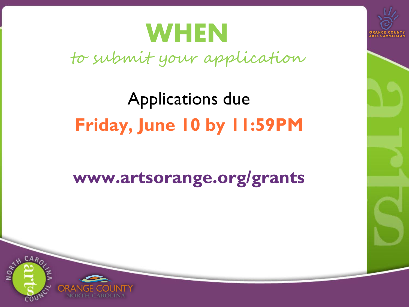### **WHEN**

to submit your application

### Applications due **Friday, June 10 by 11:59PM**

### **www.artsorange.org/grants**



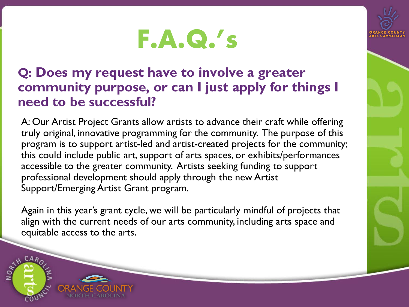

#### **Q: Does my request have to involve a greater community purpose, or can I just apply for things I need to be successful?**

A: Our Artist Project Grants allow artists to advance their craft while offering truly original, innovative programming for the community. The purpose of this program is to support artist-led and artist-created projects for the community; this could include public art, support of arts spaces, or exhibits/performances accessible to the greater community. Artists seeking funding to support professional development should apply through the new Artist Support/Emerging Artist Grant program.

Again in this year's grant cycle, we will be particularly mindful of projects that align with the current needs of our arts community, including arts space and equitable access to the arts.

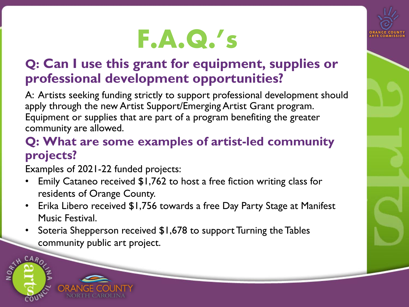#### **Q: Can I use this grant for equipment, supplies or professional development opportunities?**

A: Artists seeking funding strictly to support professional development should apply through the new Artist Support/Emerging Artist Grant program. Equipment or supplies that are part of a program benefiting the greater community are allowed.

#### **Q: What are some examples of artist-led community projects?**

Examples of 2021-22 funded projects:

- Emily Cataneo received \$1,762 to host a free fiction writing class for residents of Orange County.
- Erika Libero received \$1,756 towards a free Day Party Stage at Manifest Music Festival.
- Soteria Shepperson received \$1,678 to support Turning the Tables community public art project.

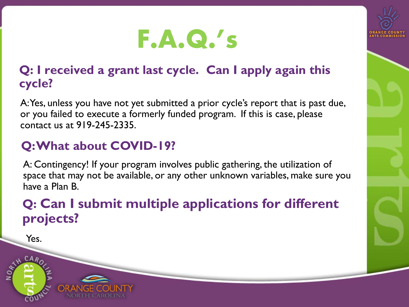

#### **Q: I received a grant last cycle. Can I apply again this cycle?**

A: Yes, unless you have not yet submitted a prior cycle's report that is past due, or you failed to execute a formerly funded program. If this is case, please contact us at 919-245-2335.

#### **Q: What about COVID-19?**

A: Contingency! If your program involves public gathering, the utilization of space that may not be available, or any other unknown variables, make sure you have a Plan B.

#### **Q: Can I submit multiple applications for different projects?**

Yes.

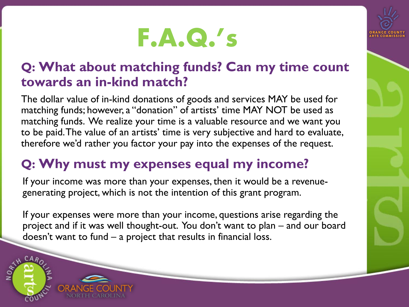#### **Q: What about matching funds? Can my time count towards an in-kind match?**

The dollar value of in-kind donations of goods and services MAY be used for matching funds; however, a "donation" of artists' time MAY NOT be used as matching funds. We realize your time is a valuable resource and we want you to be paid. The value of an artists' time is very subjective and hard to evaluate, therefore we'd rather you factor your pay into the expenses of the request.

#### **Q: Why must my expenses equal my income?**

If your income was more than your expenses, then it would be a revenuegenerating project, which is not the intention of this grant program.

If your expenses were more than your income, questions arise regarding the project and if it was well thought-out. You don't want to plan – and our board doesn't want to fund – a project that results in financial loss.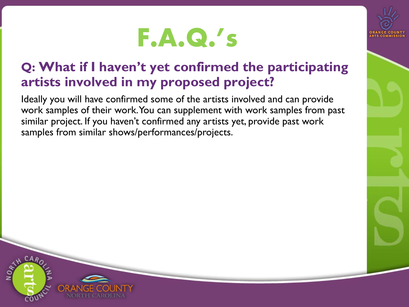

Ideally you will have confirmed some of the artists involved and can provide work samples of their work. You can supplement with work samples from past similar project. If you haven't confirmed any artists yet, provide past work samples from similar shows/performances/projects.

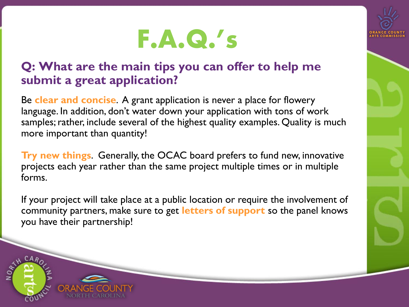#### **Q: What are the main tips you can offer to help me submit a great application?**

Be **clear and concise**. A grant application is never a place for flowery language. In addition, don't water down your application with tons of work samples; rather, include several of the highest quality examples. Quality is much more important than quantity!

**Try new things**. Generally, the OCAC board prefers to fund new, innovative projects each year rather than the same project multiple times or in multiple forms.

If your project will take place at a public location or require the involvement of community partners, make sure to get **letters of support** so the panel knows you have their partnership!